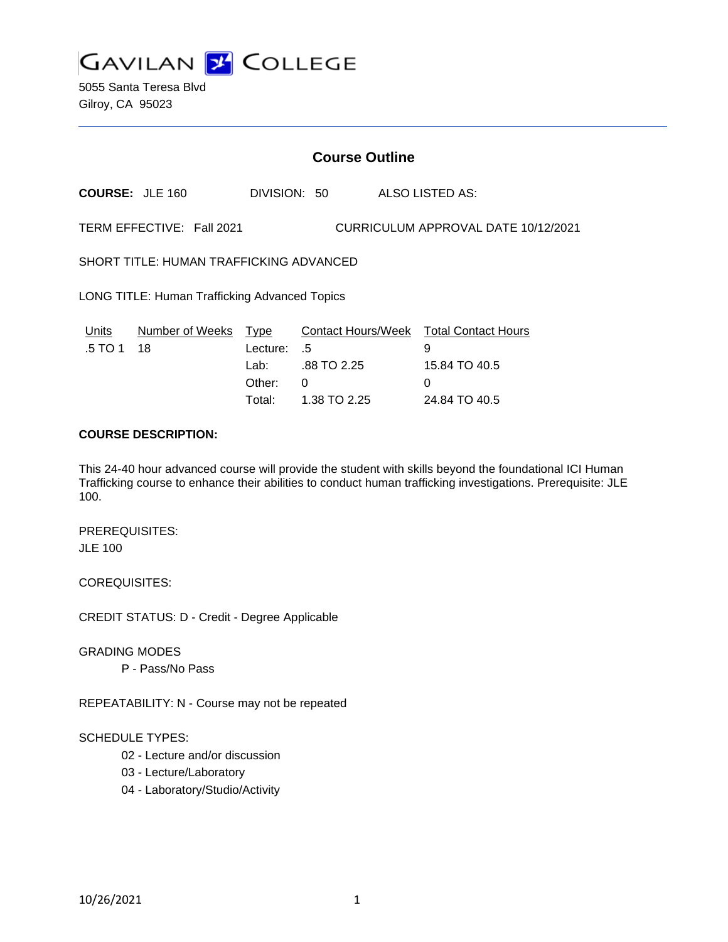

5055 Santa Teresa Blvd Gilroy, CA 95023

# **Course Outline**

**COURSE:** JLE 160 DIVISION: 50 ALSO LISTED AS:

TERM EFFECTIVE: Fall 2021 CURRICULUM APPROVAL DATE 10/12/2021

SHORT TITLE: HUMAN TRAFFICKING ADVANCED

LONG TITLE: Human Trafficking Advanced Topics

| Units      | Number of Weeks Type |             | Contact Hours/Week Total Contact Hours |               |
|------------|----------------------|-------------|----------------------------------------|---------------|
| .5 TO 1 18 |                      | Lecture: .5 |                                        | 9             |
|            |                      | Lab: _      | .88 TO 2.25                            | 15.84 TO 40.5 |
|            |                      | Other:      | - 0                                    | $\mathbf{U}$  |
|            |                      | Total:      | 1.38 TO 2.25                           | 24.84 TO 40.5 |

## **COURSE DESCRIPTION:**

This 24-40 hour advanced course will provide the student with skills beyond the foundational ICI Human Trafficking course to enhance their abilities to conduct human trafficking investigations. Prerequisite: JLE 100.

PREREQUISITES: JLE 100

COREQUISITES:

CREDIT STATUS: D - Credit - Degree Applicable

GRADING MODES

P - Pass/No Pass

REPEATABILITY: N - Course may not be repeated

#### SCHEDULE TYPES:

- 02 Lecture and/or discussion
- 03 Lecture/Laboratory
- 04 Laboratory/Studio/Activity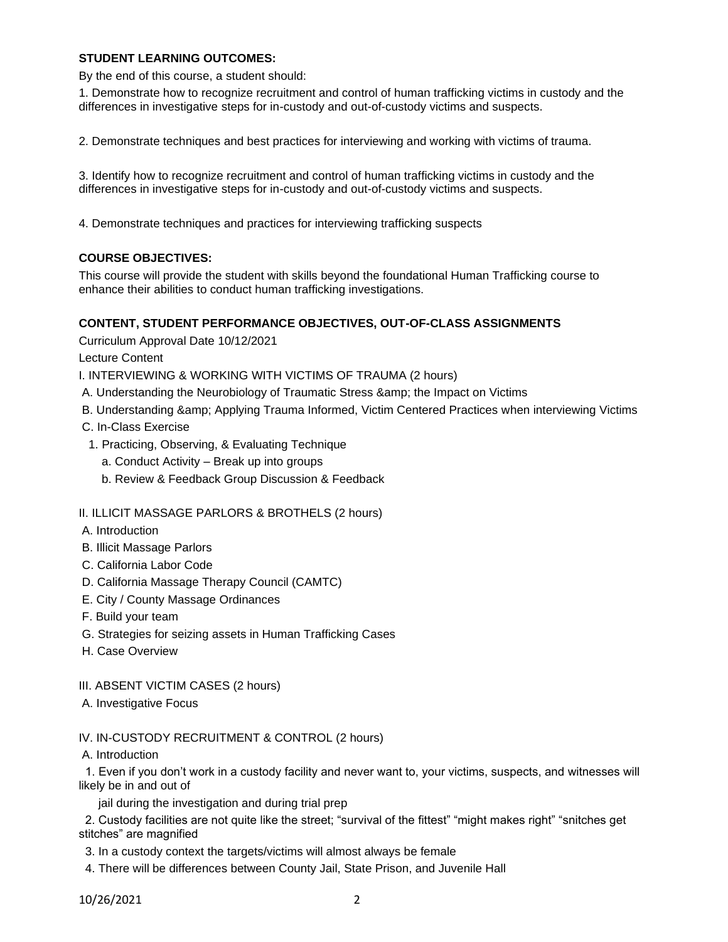## **STUDENT LEARNING OUTCOMES:**

By the end of this course, a student should:

1. Demonstrate how to recognize recruitment and control of human trafficking victims in custody and the differences in investigative steps for in-custody and out-of-custody victims and suspects.

2. Demonstrate techniques and best practices for interviewing and working with victims of trauma.

3. Identify how to recognize recruitment and control of human trafficking victims in custody and the differences in investigative steps for in-custody and out-of-custody victims and suspects.

4. Demonstrate techniques and practices for interviewing trafficking suspects

## **COURSE OBJECTIVES:**

This course will provide the student with skills beyond the foundational Human Trafficking course to enhance their abilities to conduct human trafficking investigations.

### **CONTENT, STUDENT PERFORMANCE OBJECTIVES, OUT-OF-CLASS ASSIGNMENTS**

Curriculum Approval Date 10/12/2021

Lecture Content

I. INTERVIEWING & WORKING WITH VICTIMS OF TRAUMA (2 hours)

- A. Understanding the Neurobiology of Traumatic Stress & amp; the Impact on Victims
- B. Understanding & Applying Trauma Informed, Victim Centered Practices when interviewing Victims
- C. In-Class Exercise
- 1. Practicing, Observing, & Evaluating Technique
	- a. Conduct Activity Break up into groups
	- b. Review & Feedback Group Discussion & Feedback

II. ILLICIT MASSAGE PARLORS & BROTHELS (2 hours)

- A. Introduction
- B. Illicit Massage Parlors
- C. California Labor Code
- D. California Massage Therapy Council (CAMTC)
- E. City / County Massage Ordinances
- F. Build your team
- G. Strategies for seizing assets in Human Trafficking Cases
- H. Case Overview
- III. ABSENT VICTIM CASES (2 hours)
- A. Investigative Focus

IV. IN-CUSTODY RECRUITMENT & CONTROL (2 hours)

A. Introduction

 1. Even if you don't work in a custody facility and never want to, your victims, suspects, and witnesses will likely be in and out of

jail during the investigation and during trial prep

 2. Custody facilities are not quite like the street; "survival of the fittest" "might makes right" "snitches get stitches" are magnified

3. In a custody context the targets/victims will almost always be female

4. There will be differences between County Jail, State Prison, and Juvenile Hall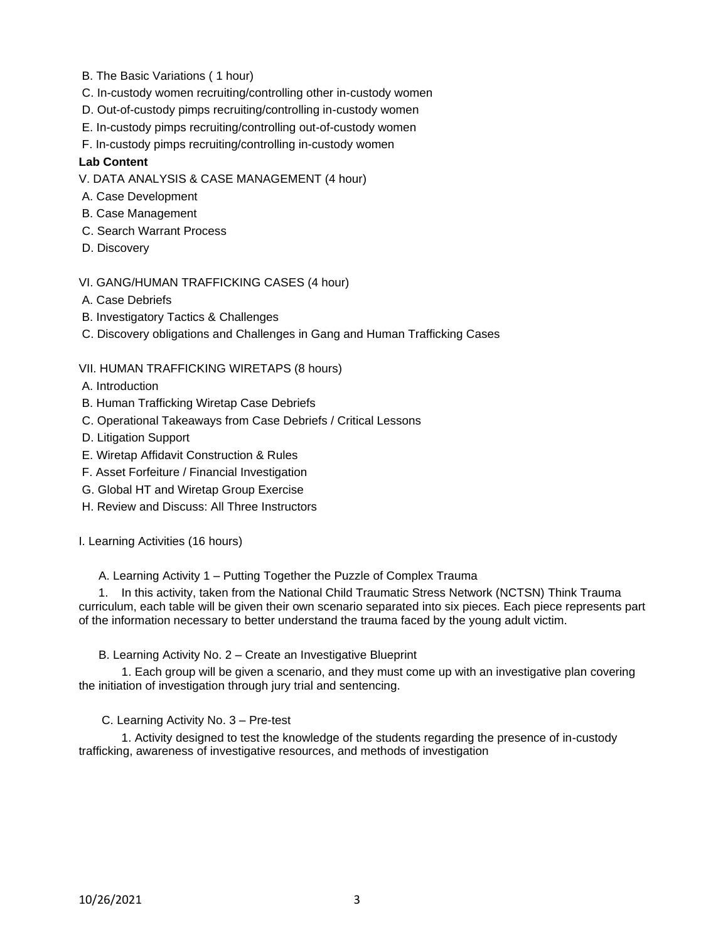- B. The Basic Variations ( 1 hour)
- C. In-custody women recruiting/controlling other in-custody women
- D. Out-of-custody pimps recruiting/controlling in-custody women
- E. In-custody pimps recruiting/controlling out-of-custody women
- F. In-custody pimps recruiting/controlling in-custody women

### **Lab Content**

V. DATA ANALYSIS & CASE MANAGEMENT (4 hour)

- A. Case Development
- B. Case Management
- C. Search Warrant Process
- D. Discovery

VI. GANG/HUMAN TRAFFICKING CASES (4 hour)

- A. Case Debriefs
- B. Investigatory Tactics & Challenges
- C. Discovery obligations and Challenges in Gang and Human Trafficking Cases

### VII. HUMAN TRAFFICKING WIRETAPS (8 hours)

- A. Introduction
- B. Human Trafficking Wiretap Case Debriefs
- C. Operational Takeaways from Case Debriefs / Critical Lessons
- D. Litigation Support
- E. Wiretap Affidavit Construction & Rules
- F. Asset Forfeiture / Financial Investigation
- G. Global HT and Wiretap Group Exercise
- H. Review and Discuss: All Three Instructors

I. Learning Activities (16 hours)

#### A. Learning Activity 1 – Putting Together the Puzzle of Complex Trauma

 1. In this activity, taken from the National Child Traumatic Stress Network (NCTSN) Think Trauma curriculum, each table will be given their own scenario separated into six pieces. Each piece represents part of the information necessary to better understand the trauma faced by the young adult victim.

B. Learning Activity No. 2 – Create an Investigative Blueprint

 1. Each group will be given a scenario, and they must come up with an investigative plan covering the initiation of investigation through jury trial and sentencing.

C. Learning Activity No. 3 – Pre-test

 1. Activity designed to test the knowledge of the students regarding the presence of in-custody trafficking, awareness of investigative resources, and methods of investigation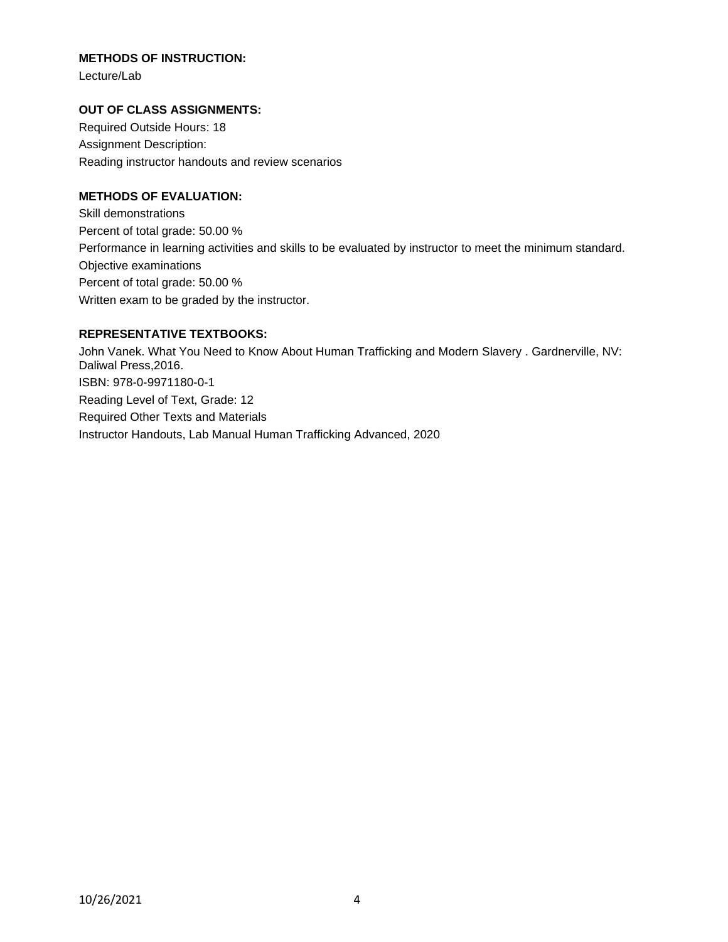## **METHODS OF INSTRUCTION:**

Lecture/Lab

## **OUT OF CLASS ASSIGNMENTS:**

Required Outside Hours: 18 Assignment Description: Reading instructor handouts and review scenarios

# **METHODS OF EVALUATION:**

Skill demonstrations Percent of total grade: 50.00 % Performance in learning activities and skills to be evaluated by instructor to meet the minimum standard. Objective examinations Percent of total grade: 50.00 % Written exam to be graded by the instructor.

### **REPRESENTATIVE TEXTBOOKS:**

John Vanek. What You Need to Know About Human Trafficking and Modern Slavery . Gardnerville, NV: Daliwal Press,2016. ISBN: 978-0-9971180-0-1 Reading Level of Text, Grade: 12 Required Other Texts and Materials Instructor Handouts, Lab Manual Human Trafficking Advanced, 2020